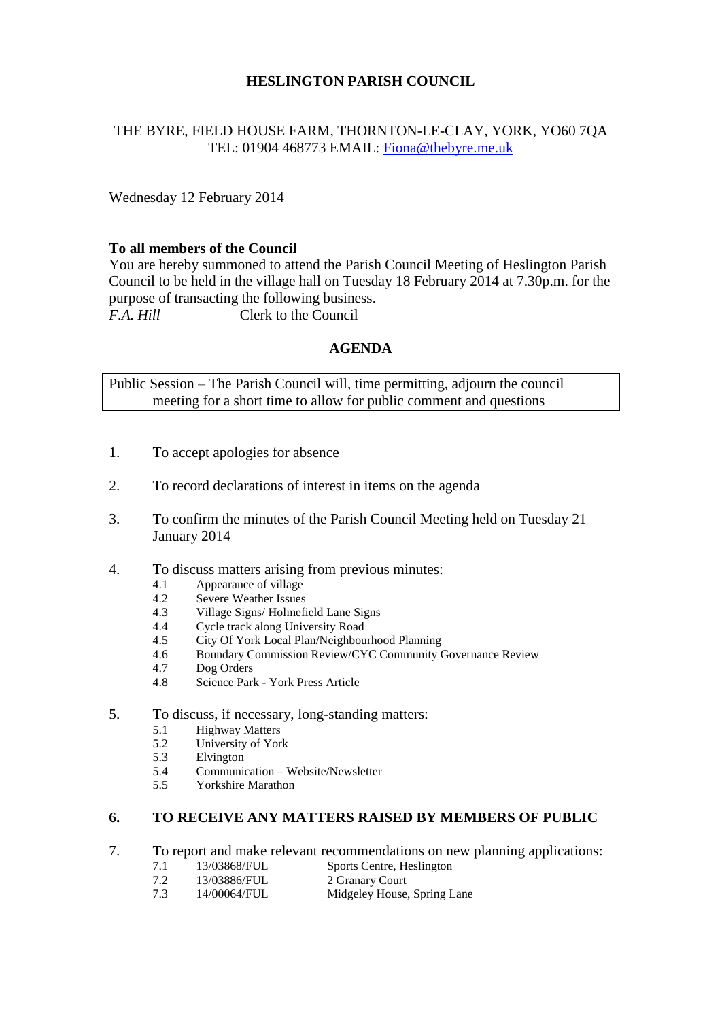# **HESLINGTON PARISH COUNCIL**

# THE BYRE, FIELD HOUSE FARM, THORNTON-LE-CLAY, YORK, YO60 7QA TEL: 01904 468773 EMAIL: [Fiona@thebyre.me.uk](mailto:Fiona@thebyre.me.uk)

Wednesday 12 February 2014

### **To all members of the Council**

You are hereby summoned to attend the Parish Council Meeting of Heslington Parish Council to be held in the village hall on Tuesday 18 February 2014 at 7.30p.m. for the purpose of transacting the following business. *F.A. Hill* Clerk to the Council

### **AGENDA**

Public Session – The Parish Council will, time permitting, adjourn the council meeting for a short time to allow for public comment and questions

- 1. To accept apologies for absence
- 2. To record declarations of interest in items on the agenda
- 3. To confirm the minutes of the Parish Council Meeting held on Tuesday 21 January 2014
- 4. To discuss matters arising from previous minutes:
	- 4.1 Appearance of village
	- 4.2 Severe Weather Issues
	- 4.3 Village Signs/ Holmefield Lane Signs
	- 4.4 Cycle track along University Road
	- 4.5 City Of York Local Plan/Neighbourhood Planning
	- 4.6 Boundary Commission Review/CYC Community Governance Review
	- 4.7 Dog Orders
	- 4.8 Science Park York Press Article
- 5. To discuss, if necessary, long-standing matters:
	- 5.1 Highway Matters
	- 5.2 University of York
	- 5.3 Elvington
	- 5.4 Communication Website/Newsletter
	- 5.5 Yorkshire Marathon

# **6. TO RECEIVE ANY MATTERS RAISED BY MEMBERS OF PUBLIC**

- 7. To report and make relevant recommendations on new planning applications:
	- 7.1 13/03868/FUL Sports Centre, Heslington
	- 7.2 13/03886/FUL 2 Granary Court
	- 7.3 14/00064/FUL Midgeley House, Spring Lane